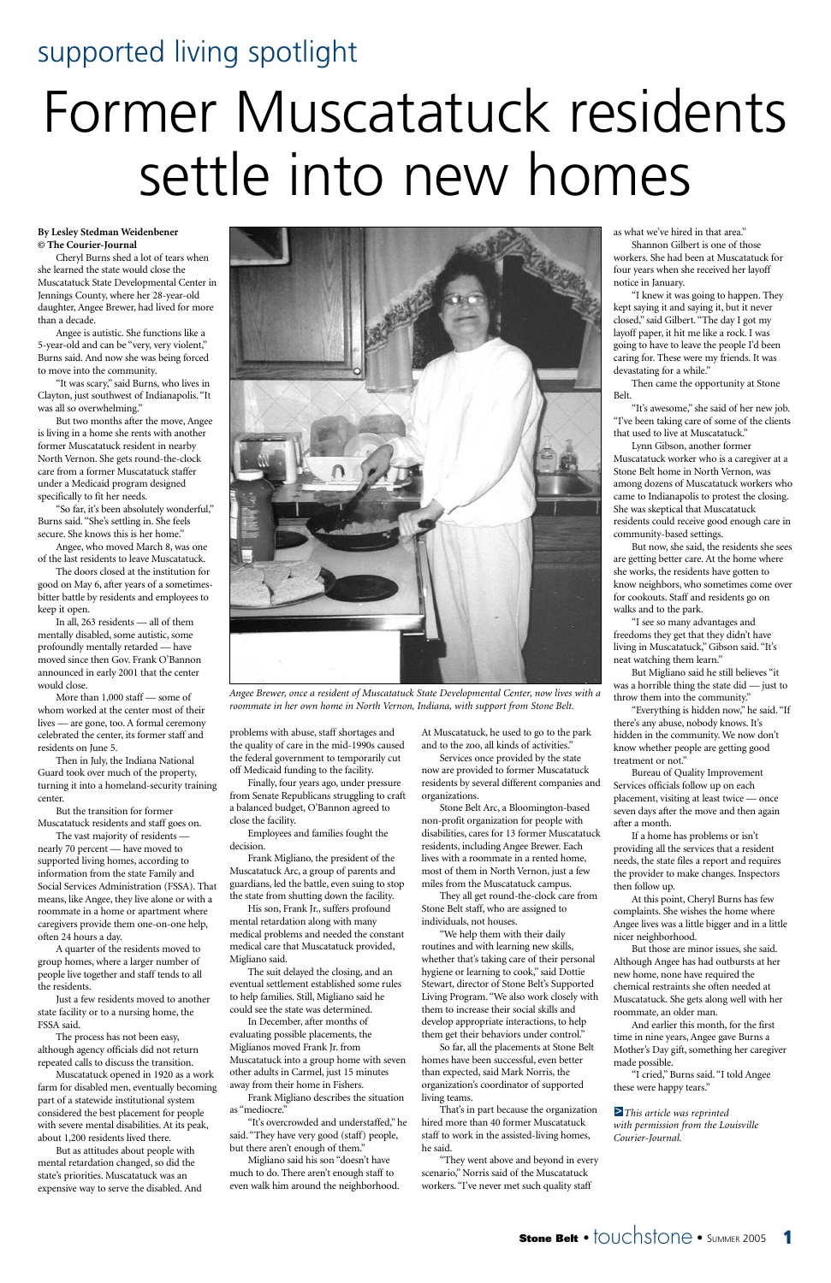# supported living spotlight



# Former Muscatatuck residents settle into new homes

#### **By Lesley Stedman Weidenbener © The Courier-Journal**

Cheryl Burns shed a lot of tears when she learned the state would close the Muscatatuck State Developmental Center in Jennings County, where her 28-year-old daughter, Angee Brewer, had lived for more than a decade.

Angee is autistic. She functions like a 5-year-old and can be "very, very violent," Burns said. And now she was being forced to move into the community.

"It was scary," said Burns, who lives in Clayton, just southwest of Indianapolis. "It was all so overwhelming."

But two months after the move, Angee is living in a home she rents with another former Muscatatuck resident in nearby North Vernon. She gets round-the-clock care from a former Muscatatuck staffer under a Medicaid program designed specifically to fit her needs.

More than 1,000 staff — some of whom worked at the center most of their lives — are gone, too. A formal ceremony celebrated the center, its former staff and residents on June 5.

"So far, it's been absolutely wonderful," Burns said. "She's settling in. She feels secure. She knows this is her home."

Angee, who moved March 8, was one of the last residents to leave Muscatatuck.

The doors closed at the institution for good on May 6, after years of a sometimesbitter battle by residents and employees to keep it open.

In all, 263 residents — all of them mentally disabled, some autistic, some profoundly mentally retarded — have moved since then Gov. Frank O'Bannon announced in early 2001 that the center would close.

Then in July, the Indiana National Guard took over much of the property, turning it into a homeland-security training center.

But the transition for former Muscatatuck residents and staff goes on. The vast majority of residents —

nearly 70 percent — have moved to supported living homes, according to information from the state Family and Social Services Administration (FSSA). That means, like Angee, they live alone or with a roommate in a home or apartment where caregivers provide them one-on-one help, often 24 hours a day. A quarter of the residents moved to group homes, where a larger number of people live together and staff tends to all the residents.

Just a few residents moved to another state facility or to a nursing home, the FSSA said.

The process has not been easy, although agency officials did not return repeated calls to discuss the transition.

Muscatatuck opened in 1920 as a work farm for disabled men, eventually becoming part of a statewide institutional system considered the best placement for people with severe mental disabilities. At its peak, about 1,200 residents lived there.

But as attitudes about people with mental retardation changed, so did the state's priorities. Muscatatuck was an expensive way to serve the disabled. And problems with abuse, staff shortages and the quality of care in the mid-1990s caused the federal government to temporarily cut off Medicaid funding to the facility.

Finally, four years ago, under pressure from Senate Republicans struggling to craft a balanced budget, O'Bannon agreed to close the facility.

Employees and families fought the decision.

Frank Migliano, the president of the Muscatatuck Arc, a group of parents and guardians, led the battle, even suing to stop the state from shutting down the facility.

His son, Frank Jr., suffers profound mental retardation along with many medical problems and needed the constant medical care that Muscatatuck provided, Migliano said. The suit delayed the closing, and an eventual settlement established some rules to help families. Still, Migliano said he could see the state was determined. In December, after months of evaluating possible placements, the Miglianos moved Frank Jr. from Muscatatuck into a group home with seven other adults in Carmel, just 15 minutes away from their home in Fishers.

Frank Migliano describes the situation as "mediocre."

"It's overcrowded and understaffed," he said. "They have very good (staff) people, but there aren't enough of them."

Migliano said his son "doesn't have much to do. There aren't enough staff to even walk him around the neighborhood. At Muscatatuck, he used to go to the park and to the zoo, all kinds of activities."

Services once provided by the state now are provided to former Muscatatuck residents by several different companies and organizations.

Stone Belt Arc, a Bloomington-based non-profit organization for people with disabilities, cares for 13 former Muscatatuck residents, including Angee Brewer. Each lives with a roommate in a rented home, most of them in North Vernon, just a few miles from the Muscatatuck campus.

They all get round-the-clock care from Stone Belt staff, who are assigned to individuals, not houses.

"We help them with their daily routines and with learning new skills, whether that's taking care of their personal hygiene or learning to cook," said Dottie Stewart, director of Stone Belt's Supported Living Program. "We also work closely with them to increase their social skills and develop appropriate interactions, to help them get their behaviors under control."

So far, all the placements at Stone Belt homes have been successful, even better than expected, said Mark Norris, the organization's coordinator of supported living teams.

That's in part because the organization hired more than 40 former Muscatatuck staff to work in the assisted-living homes, he said.

"They went above and beyond in every scenario," Norris said of the Muscatatuck workers. "I've never met such quality staff

as what we've hired in that area."

Shannon Gilbert is one of those workers. She had been at Muscatatuck for four years when she received her layoff notice in January.

"I knew it was going to happen. They kept saying it and saying it, but it never closed," said Gilbert. "The day I got my layoff paper, it hit me like a rock. I was going to have to leave the people I'd been caring for. These were my friends. It was devastating for a while."

Then came the opportunity at Stone Belt.

"It's awesome," she said of her new job. "I've been taking care of some of the clients that used to live at Muscatatuck."

Lynn Gibson, another former Muscatatuck worker who is a caregiver at a Stone Belt home in North Vernon, was among dozens of Muscatatuck workers who came to Indianapolis to protest the closing. She was skeptical that Muscatatuck residents could receive good enough care in community-based settings.

But now, she said, the residents she sees are getting better care. At the home where she works, the residents have gotten to know neighbors, who sometimes come over for cookouts. Staff and residents go on walks and to the park.

"I see so many advantages and freedoms they get that they didn't have living in Muscatatuck," Gibson said. "It's neat watching them learn."

But Migliano said he still believes "it was a horrible thing the state did — just to throw them into the community."

"Everything is hidden now," he said. "If there's any abuse, nobody knows. It's hidden in the community. We now don't know whether people are getting good treatment or not."

Bureau of Quality Improvement Services officials follow up on each placement, visiting at least twice — once seven days after the move and then again after a month.

If a home has problems or isn't providing all the services that a resident needs, the state files a report and requires the provider to make changes. Inspectors then follow up.

At this point, Cheryl Burns has few complaints. She wishes the home where Angee lives was a little bigger and in a little nicer neighborhood. But those are minor issues, she said. Although Angee has had outbursts at her new home, none have required the chemical restraints she often needed at Muscatatuck. She gets along well with her roommate, an older man. And earlier this month, for the first time in nine years, Angee gave Burns a Mother's Day gift, something her caregiver made possible.

"I cried," Burns said. "I told Angee these were happy tears."

*This article was reprinted*  >*with permission from the Louisville Courier-Journal.*



*Angee Brewer, once a resident of Muscatatuck State Developmental Center, now lives with a roommate in her own home in North Vernon, Indiana, with support from Stone Belt.*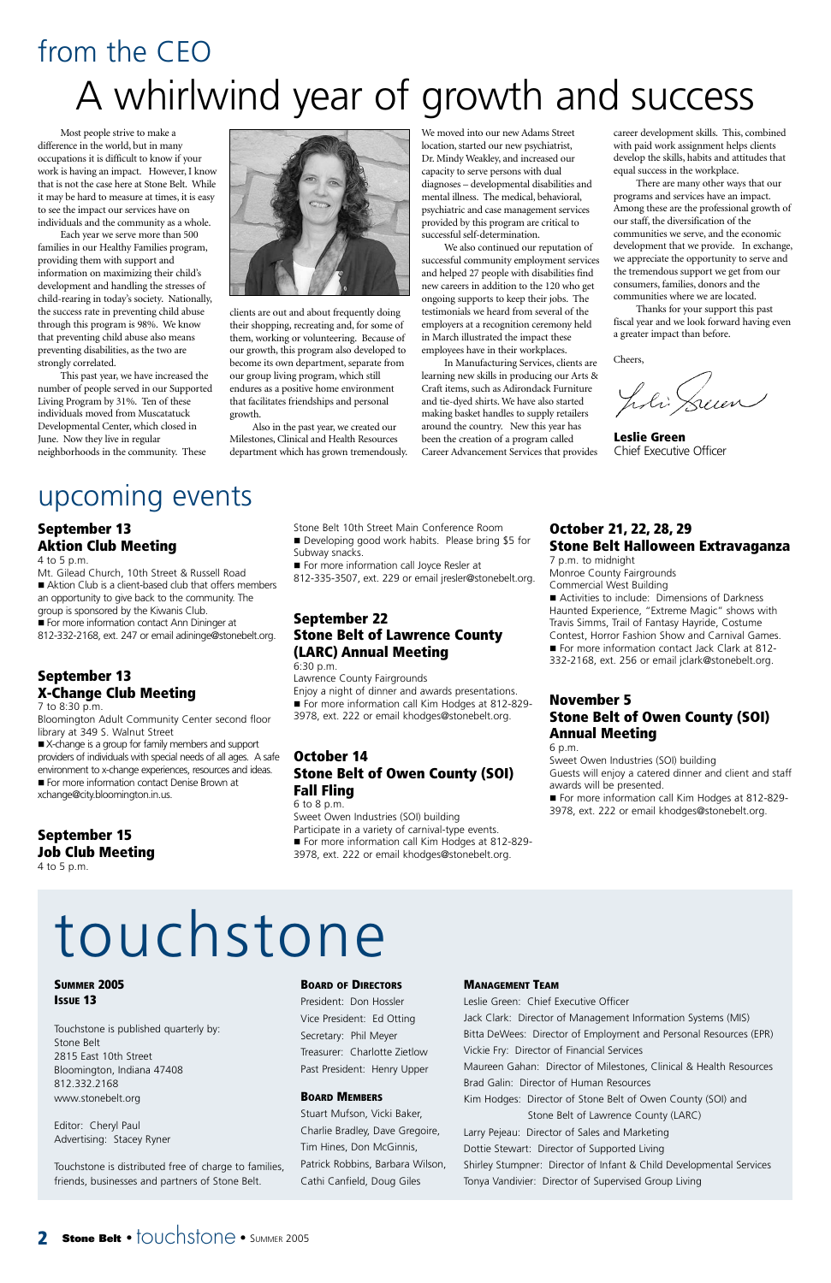Most people strive to make a difference in the world, but in many occupations it is difficult to know if your work is having an impact. However, I know that is not the case here at Stone Belt. While it may be hard to measure at times, it is easy to see the impact our services have on individuals and the community as a whole.

Each year we serve more than 500 families in our Healthy Families program, providing them with support and information on maximizing their child's development and handling the stresses of child-rearing in today's society. Nationally, the success rate in preventing child abuse through this program is 98%. We know that preventing child abuse also means preventing disabilities, as the two are strongly correlated.

This past year, we have increased the number of people served in our Supported Living Program by 31%. Ten of these individuals moved from Muscatatuck Developmental Center, which closed in June. Now they live in regular neighborhoods in the community. These



clients are out and about frequently doing their shopping, recreating and, for some of them, working or volunteering. Because of our growth, this program also developed to become its own department, separate from our group living program, which still endures as a positive home environment that facilitates friendships and personal growth.

Also in the past year, we created our Milestones, Clinical and Health Resources department which has grown tremendously.

We moved into our new Adams Street location, started our new psychiatrist, Dr. Mindy Weakley, and increased our capacity to serve persons with dual diagnoses – developmental disabilities and mental illness. The medical, behavioral, psychiatric and case management services provided by this program are critical to successful self-determination.

For more information contact Ann Dininger at 812-332-2168, ext. 247 or email adininge@stonebelt.org.

We also continued our reputation of successful community employment services and helped 27 people with disabilities find new careers in addition to the 120 who get ongoing supports to keep their jobs. The testimonials we heard from several of the employers at a recognition ceremony held in March illustrated the impact these employees have in their workplaces.

■ X-change is a group for family members and support providers of individuals with special needs of all ages. A safe environment to x-change experiences, resources and ideas. For more information contact Denise Brown at xchange@city.bloomington.in.us.

- Stone Belt 10th Street Main Conference Room
- Developing good work habits. Please bring \$5 for
- Subway snacks.
- For more information call Joyce Resler at

In Manufacturing Services, clients are learning new skills in producing our Arts & Craft items, such as Adirondack Furniture and tie-dyed shirts. We have also started making basket handles to supply retailers around the country. New this year has been the creation of a program called Career Advancement Services that provides

career development skills. This, combined with paid work assignment helps clients develop the skills, habits and attitudes that equal success in the workplace.

For more information call Kim Hodges at 812-829-3978, ext. 222 or email khodges@stonebelt.org.

There are many other ways that our programs and services have an impact. Among these are the professional growth of our staff, the diversification of the communities we serve, and the economic development that we provide. In exchange, we appreciate the opportunity to serve and the tremendous support we get from our consumers, families, donors and the communities where we are located.

Thanks for your support this past fiscal year and we look forward having even a greater impact than before.

Cheers,

J.li Sum

**Leslie Green** Chief Executive Officer

# from the CEO A whirlwind year of growth and success

# upcoming events

#### **September 13 Aktion Club Meeting**

4 to 5 p.m.

Mt. Gilead Church, 10th Street & Russell Road Aktion Club is a client-based club that offers members an opportunity to give back to the community. The group is sponsored by the Kiwanis Club.

#### **September 13 X-Change Club Meeting**

7 to 8:30 p.m.

Bloomington Adult Community Center second floor library at 349 S. Walnut Street

#### **September 15 Job Club Meeting** 4 to 5 p.m.

812-335-3507, ext. 229 or email jresler@stonebelt.org.

#### **September 22 Stone Belt of Lawrence County (LARC) Annual Meeting**

6:30 p.m.

Lawrence County Fairgrounds Enjoy a night of dinner and awards presentations. For more information call Kim Hodges at 812-829-3978, ext. 222 or email khodges@stonebelt.org.

#### **October 14 Stone Belt of Owen County (SOI) Fall Fling** 6 to 8 p.m.

Sweet Owen Industries (SOI) building Participate in a variety of carnival-type events. For more information call Kim Hodges at 812-829-3978, ext. 222 or email khodges@stonebelt.org.

#### **October 21, 22, 28, 29 Stone Belt Halloween Extravaganza**

7 p.m. to midnight Monroe County Fairgrounds Commercial West Building ■ Activities to include: Dimensions of Darkness Haunted Experience, "Extreme Magic" shows with Travis Simms, Trail of Fantasy Hayride, Costume

Contest, Horror Fashion Show and Carnival Games. For more information contact Jack Clark at 812-332-2168, ext. 256 or email jclark@stonebelt.org.

#### **November 5 Stone Belt of Owen County (SOI) Annual Meeting**

6 p.m.

Sweet Owen Industries (SOI) building Guests will enjoy a catered dinner and client and staff awards will be presented.

#### **MANAGEMENT TEAM**

Leslie Green: Chief Executive Officer Jack Clark: Director of Management Information Systems (MIS) Bitta DeWees: Director of Employment and Personal Resources (EPR) Vickie Fry: Director of Financial Services Maureen Gahan: Director of Milestones, Clinical & Health Resources Brad Galin: Director of Human Resources Kim Hodges: Director of Stone Belt of Owen County (SOI) and Stone Belt of Lawrence County (LARC) Larry Pejeau: Director of Sales and Marketing Dottie Stewart: Director of Supported Living Shirley Stumpner: Director of Infant & Child Developmental Services Tonya Vandivier: Director of Supervised Group Living

#### **2 Stone Belt** •  $\dagger$ OUChStone • SUMMER 2005

**SUMMER 2005 ISSUE 13**

Touchstone is published quarterly by: Stone Belt 2815 East 10th Street Bloomington, Indiana 47408 812.332.2168 www.stonebelt.org

Editor: Cheryl Paul Advertising: Stacey Ryner

Touchstone is distributed free of charge to families, friends, businesses and partners of Stone Belt.

#### **BOARD OF DIRECTORS**

President: Don Hossler Vice President: Ed Otting Secretary: Phil Meyer Treasurer: Charlotte Zietlow Past President: Henry Upper

#### **BOARD MEMBERS**

Stuart Mufson, Vicki Baker, Charlie Bradley, Dave Gregoire, Tim Hines, Don McGinnis, Patrick Robbins, Barbara Wilson, Cathi Canfield, Doug Giles

# touchstone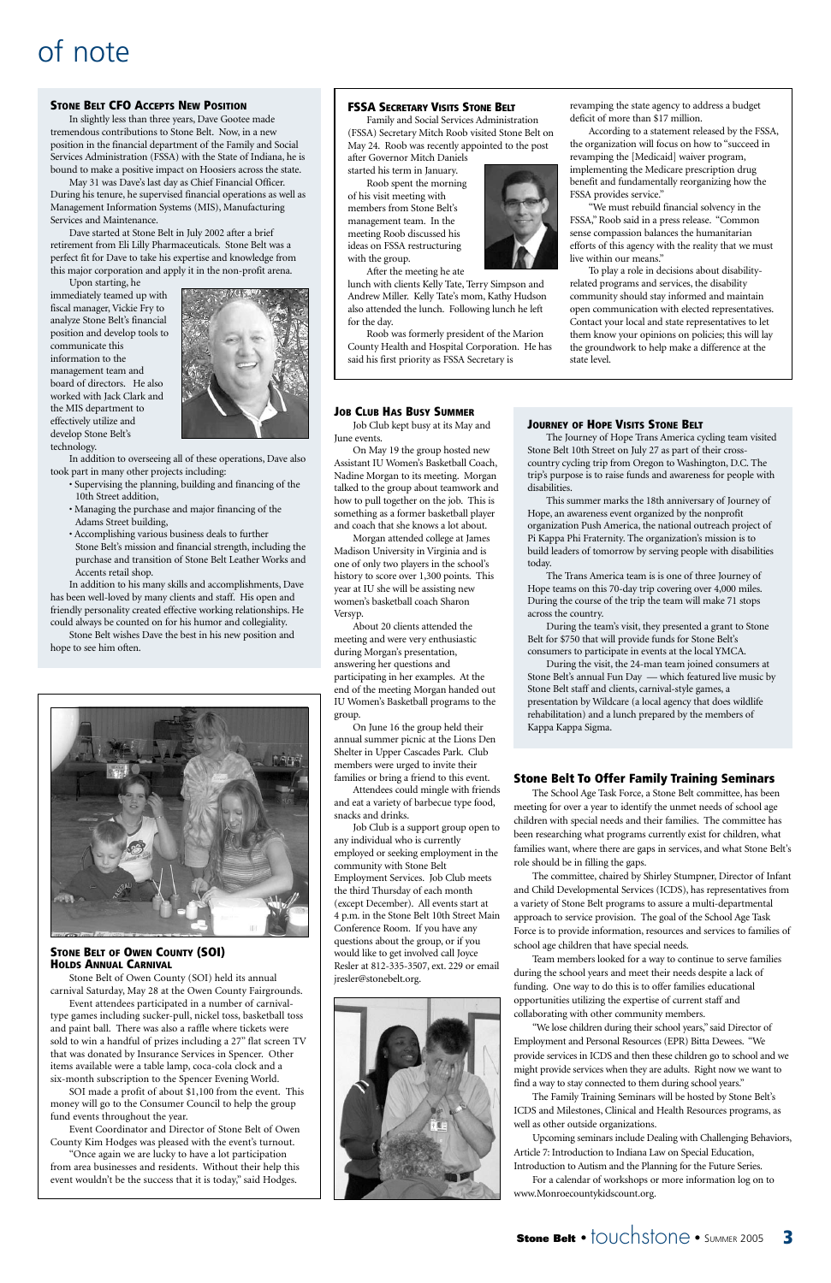# of note

#### **STONE BELT CFO ACCEPTS NEW POSITION**

In slightly less than three years, Dave Gootee made tremendous contributions to Stone Belt. Now, in a new position in the financial department of the Family and Social Services Administration (FSSA) with the State of Indiana, he is bound to make a positive impact on Hoosiers across the state.

May 31 was Dave's last day as Chief Financial Officer. During his tenure, he supervised financial operations as well as Management Information Systems (MIS), Manufacturing Services and Maintenance.

Dave started at Stone Belt in July 2002 after a brief retirement from Eli Lilly Pharmaceuticals. Stone Belt was a perfect fit for Dave to take his expertise and knowledge from this major corporation and apply it in the non-profit arena.

Upon starting, he immediately teamed up with fiscal manager, Vickie Fry to analyze Stone Belt's financial position and develop tools to communicate this information to the management team and board of directors. He also worked with Jack Clark and the MIS department to effectively utilize and develop Stone Belt's technology.



In addition to overseeing all of these operations, Dave also took part in many other projects including:

- Supervising the planning, building and financing of the 10th Street addition,
- Managing the purchase and major financing of the Adams Street building,
- Accomplishing various business deals to further Stone Belt's mission and financial strength, including the purchase and transition of Stone Belt Leather Works and Accents retail shop.

In addition to his many skills and accomplishments, Dave has been well-loved by many clients and staff. His open and friendly personality created effective working relationships. He could always be counted on for his humor and collegiality.

Stone Belt wishes Dave the best in his new position and hope to see him often.



#### **JOB CLUB HAS BUSY SUMMER**

Job Club kept busy at its May and June events.

On May 19 the group hosted new Assistant IU Women's Basketball Coach, Nadine Morgan to its meeting. Morgan talked to the group about teamwork and how to pull together on the job. This is something as a former basketball player and coach that she knows a lot about.

Morgan attended college at James Madison University in Virginia and is one of only two players in the school's history to score over 1,300 points. This year at IU she will be assisting new women's basketball coach Sharon Versyp.

About 20 clients attended the meeting and were very enthusiastic during Morgan's presentation, answering her questions and participating in her examples. At the end of the meeting Morgan handed out IU Women's Basketball programs to the group.

On June 16 the group held their annual summer picnic at the Lions Den Shelter in Upper Cascades Park. Club members were urged to invite their families or bring a friend to this event.

Attendees could mingle with friends and eat a variety of barbecue type food, snacks and drinks.

Job Club is a support group open to any individual who is currently employed or seeking employment in the community with Stone Belt Employment Services. Job Club meets the third Thursday of each month (except December). All events start at 4 p.m. in the Stone Belt 10th Street Main Conference Room. If you have any questions about the group, or if you would like to get involved call Joyce Resler at 812-335-3507, ext. 229 or email jresler@stonebelt.org.

#### **FSSA SECRETARY VISITS STONE BELT**

Family and Social Services Administration (FSSA) Secretary Mitch Roob visited Stone Belt on May 24. Roob was recently appointed to the post after Governor Mitch Daniels

started his term in January.

Roob spent the morning of his visit meeting with members from Stone Belt's management team. In the meeting Roob discussed his ideas on FSSA restructuring with the group.

After the meeting he ate

lunch with clients Kelly Tate, Terry Simpson and Andrew Miller. Kelly Tate's mom, Kathy Hudson also attended the lunch. Following lunch he left for the day.

Roob was formerly president of the Marion County Health and Hospital Corporation. He has said his first priority as FSSA Secretary is

revamping the state agency to address a budget deficit of more than \$17 million.

According to a statement released by the FSSA, the organization will focus on how to "succeed in revamping the [Medicaid] waiver program, implementing the Medicare prescription drug benefit and fundamentally reorganizing how the FSSA provides service."

"We must rebuild financial solvency in the FSSA," Roob said in a press release. "Common sense compassion balances the humanitarian efforts of this agency with the reality that we must live within our means."

To play a role in decisions about disabilityrelated programs and services, the disability community should stay informed and maintain open communication with elected representatives. Contact your local and state representatives to let them know your opinions on policies; this will lay the groundwork to help make a difference at the state level.

#### **STONE BELT OF OWEN COUNTY (SOI) HOLDS ANNUAL CARNIVAL**

Stone Belt of Owen County (SOI) held its annual carnival Saturday, May 28 at the Owen County Fairgrounds. Event attendees participated in a number of carnivaltype games including sucker-pull, nickel toss, basketball toss and paint ball. There was also a raffle where tickets were sold to win a handful of prizes including a 27" flat screen TV that was donated by Insurance Services in Spencer. Other items available were a table lamp, coca-cola clock and a six-month subscription to the Spencer Evening World.

SOI made a profit of about \$1,100 from the event. This money will go to the Consumer Council to help the group fund events throughout the year.

Event Coordinator and Director of Stone Belt of Owen County Kim Hodges was pleased with the event's turnout.

"Once again we are lucky to have a lot participation from area businesses and residents. Without their help this event wouldn't be the success that it is today," said Hodges.



#### **Stone Belt To Offer Family Training Seminars**

The School Age Task Force, a Stone Belt committee, has been meeting for over a year to identify the unmet needs of school age children with special needs and their families. The committee has been researching what programs currently exist for children, what families want, where there are gaps in services, and what Stone Belt's role should be in filling the gaps.

The committee, chaired by Shirley Stumpner, Director of Infant and Child Developmental Services (ICDS), has representatives from a variety of Stone Belt programs to assure a multi-departmental approach to service provision. The goal of the School Age Task Force is to provide information, resources and services to families of



school age children that have special needs.

Team members looked for a way to continue to serve families during the school years and meet their needs despite a lack of funding. One way to do this is to offer families educational opportunities utilizing the expertise of current staff and collaborating with other community members.

"We lose children during their school years," said Director of Employment and Personal Resources (EPR) Bitta Dewees. "We provide services in ICDS and then these children go to school and we might provide services when they are adults. Right now we want to find a way to stay connected to them during school years."

The Family Training Seminars will be hosted by Stone Belt's ICDS and Milestones, Clinical and Health Resources programs, as well as other outside organizations.

Upcoming seminars include Dealing with Challenging Behaviors, Article 7: Introduction to Indiana Law on Special Education, Introduction to Autism and the Planning for the Future Series.

For a calendar of workshops or more information log on to www.Monroecountykidscount.org.

#### **JOURNEY OF HOPE VISITS STONE BELT**

The Journey of Hope Trans America cycling team visited Stone Belt 10th Street on July 27 as part of their crosscountry cycling trip from Oregon to Washington, D.C. The trip's purpose is to raise funds and awareness for people with disabilities.

This summer marks the 18th anniversary of Journey of Hope, an awareness event organized by the nonprofit organization Push America, the national outreach project of Pi Kappa Phi Fraternity. The organization's mission is to build leaders of tomorrow by serving people with disabilities today.

The Trans America team is is one of three Journey of Hope teams on this 70-day trip covering over 4,000 miles. During the course of the trip the team will make 71 stops across the country.

During the team's visit, they presented a grant to Stone Belt for \$750 that will provide funds for Stone Belt's consumers to participate in events at the local YMCA.

During the visit, the 24-man team joined consumers at Stone Belt's annual Fun Day — which featured live music by Stone Belt staff and clients, carnival-style games, a presentation by Wildcare (a local agency that does wildlife rehabilitation) and a lunch prepared by the members of Kappa Kappa Sigma.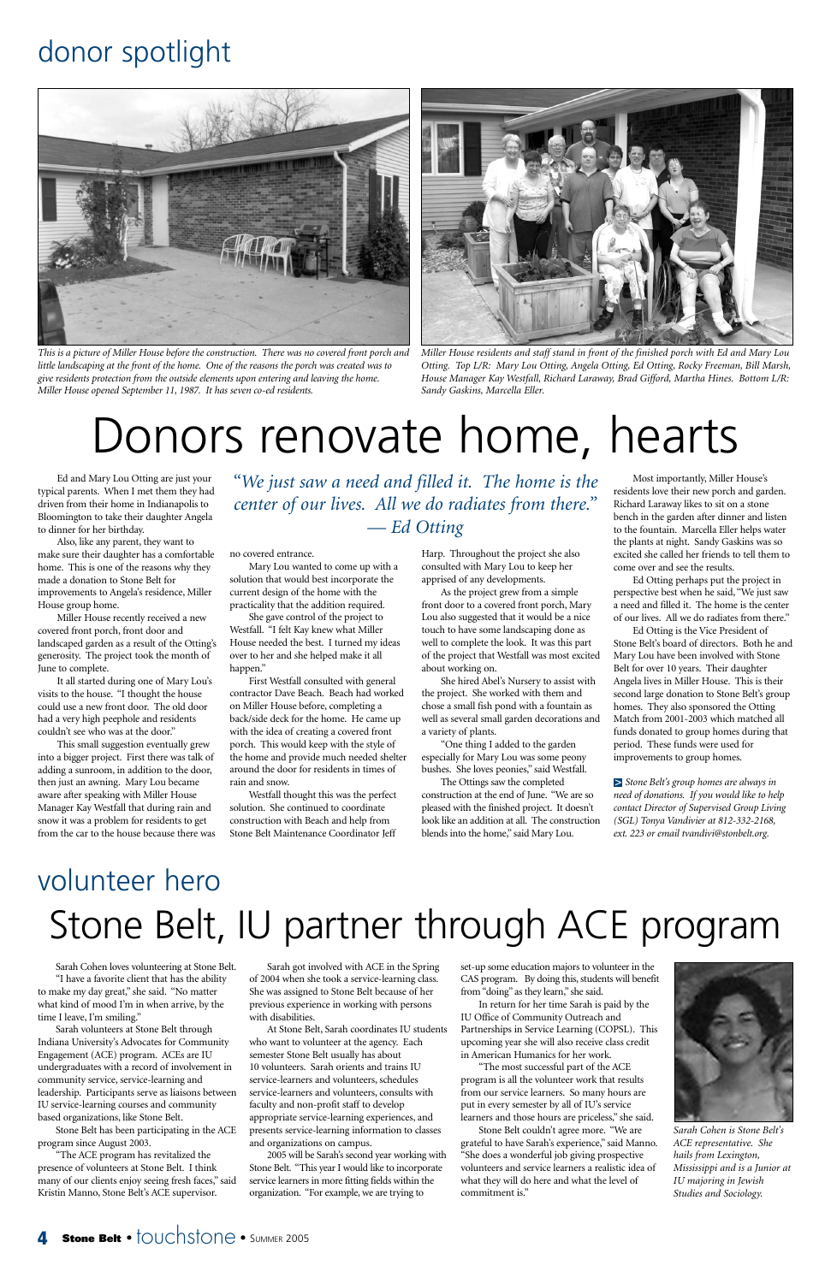Ed and Mary Lou Otting are just your typical parents. When I met them they had driven from their home in Indianapolis to Bloomington to take their daughter Angela to dinner for her birthday.

Also, like any parent, they want to make sure their daughter has a comfortable home. This is one of the reasons why they made a donation to Stone Belt for improvements to Angela's residence, Miller House group home.

Miller House recently received a new covered front porch, front door and landscaped garden as a result of the Otting's generosity. The project took the month of June to complete.

It all started during one of Mary Lou's visits to the house. "I thought the house could use a new front door. The old door had a very high peephole and residents couldn't see who was at the door."

This small suggestion eventually grew into a bigger project. First there was talk of adding a sunroom, in addition to the door, then just an awning. Mary Lou became aware after speaking with Miller House Manager Kay Westfall that during rain and snow it was a problem for residents to get from the car to the house because there was no covered entrance.

Mary Lou wanted to come up with a solution that would best incorporate the current design of the home with the practicality that the addition required.

She gave control of the project to Westfall. "I felt Kay knew what Miller House needed the best. I turned my ideas over to her and she helped make it all happen."

First Westfall consulted with general contractor Dave Beach. Beach had worked on Miller House before, completing a back/side deck for the home. He came up with the idea of creating a covered front porch. This would keep with the style of the home and provide much needed shelter around the door for residents in times of rain and snow.

Westfall thought this was the perfect solution. She continued to coordinate construction with Beach and help from Stone Belt Maintenance Coordinator Jeff

Harp. Throughout the project she also consulted with Mary Lou to keep her apprised of any developments.

As the project grew from a simple front door to a covered front porch, Mary Lou also suggested that it would be a nice touch to have some landscaping done as well to complete the look. It was this part of the project that Westfall was most excited about working on.

She hired Abel's Nursery to assist with the project. She worked with them and chose a small fish pond with a fountain as well as several small garden decorations and a variety of plants.

"One thing I added to the garden especially for Mary Lou was some peony bushes. She loves peonies," said Westfall.

The Ottings saw the completed construction at the end of June. "We are so pleased with the finished project. It doesn't look like an addition at all. The construction blends into the home," said Mary Lou.

Most importantly, Miller House's residents love their new porch and garden. Richard Laraway likes to sit on a stone bench in the garden after dinner and listen to the fountain. Marcella Eller helps water the plants at night. Sandy Gaskins was so excited she called her friends to tell them to come over and see the results.

Ed Otting perhaps put the project in perspective best when he said, "We just saw a need and filled it. The home is the center of our lives. All we do radiates from there."

Ed Otting is the Vice President of Stone Belt's board of directors. Both he and Mary Lou have been involved with Stone Belt for over 10 years. Their daughter Angela lives in Miller House. This is their second large donation to Stone Belt's group homes. They also sponsored the Otting Match from 2001-2003 which matched all funds donated to group homes during that period. These funds were used for improvements to group homes.

*Stone Belt's group homes are always in* > *need of donations. If you would like to help contact Director of Supervised Group Living (SGL) Tonya Vandivier at 812-332-2168, ext. 223 or email tvandivi@stonbelt.org.*

## donor spotlight

# Donors renovate home, hearts



*This is a picture of Miller House before the construction. There was no covered front porch and little landscaping at the front of the home. One of the reasons the porch was created was to give residents protection from the outside elements upon entering and leaving the home. Miller House opened September 11, 1987. It has seven co-ed residents.*



*Miller House residents and staff stand in front of the finished porch with Ed and Mary Lou Otting. Top L/R: Mary Lou Otting, Angela Otting, Ed Otting, Rocky Freeman, Bill Marsh, House Manager Kay Westfall, Richard Laraway, Brad Gifford, Martha Hines. Bottom L/R: Sandy Gaskins, Marcella Eller.*

*"We just saw a need and filled it. The home is the center of our lives. All we do radiates from there." — Ed Otting*

# volunteer hero Stone Belt, IU partner through ACE program

#### Sarah Cohen loves volunteering at Stone Belt.

"I have a favorite client that has the ability to make my day great," she said. "No matter what kind of mood I'm in when arrive, by the time I leave, I'm smiling."

Sarah volunteers at Stone Belt through Indiana University's Advocates for Community Engagement (ACE) program. ACEs are IU undergraduates with a record of involvement in community service, service-learning and leadership. Participants serve as liaisons between IU service-learning courses and community based organizations, like Stone Belt.

Stone Belt has been participating in the ACE program since August 2003.

"The ACE program has revitalized the presence of volunteers at Stone Belt. I think many of our clients enjoy seeing fresh faces," said Kristin Manno, Stone Belt's ACE supervisor.

Sarah got involved with ACE in the Spring of 2004 when she took a service-learning class. She was assigned to Stone Belt because of her previous experience in working with persons with disabilities.

At Stone Belt, Sarah coordinates IU students who want to volunteer at the agency. Each semester Stone Belt usually has about 10 volunteers. Sarah orients and trains IU service-learners and volunteers, schedules service-learners and volunteers, consults with faculty and non-profit staff to develop appropriate service-learning experiences, and presents service-learning information to classes and organizations on campus.

2005 will be Sarah's second year working with Stone Belt. "This year I would like to incorporate service learners in more fitting fields within the organization. "For example, we are trying to

set-up some education majors to volunteer in the CAS program. By doing this, students will benefit from "doing" as they learn," she said.

In return for her time Sarah is paid by the IU Office of Community Outreach and Partnerships in Service Learning (COPSL). This upcoming year she will also receive class credit in American Humanics for her work.

"The most successful part of the ACE program is all the volunteer work that results from our service learners. So many hours are put in every semester by all of IU's service learners and those hours are priceless," she said.

Stone Belt couldn't agree more. "We are grateful to have Sarah's experience," said Manno. "She does a wonderful job giving prospective volunteers and service learners a realistic idea of what they will do here and what the level of commitment is."



*Sarah Cohen is Stone Belt's ACE representative. She hails from Lexington, Mississippi and is a Junior at IU majoring in Jewish Studies and Sociology.*

#### **4 Stone Belt •** touchstone • SUMMER 2005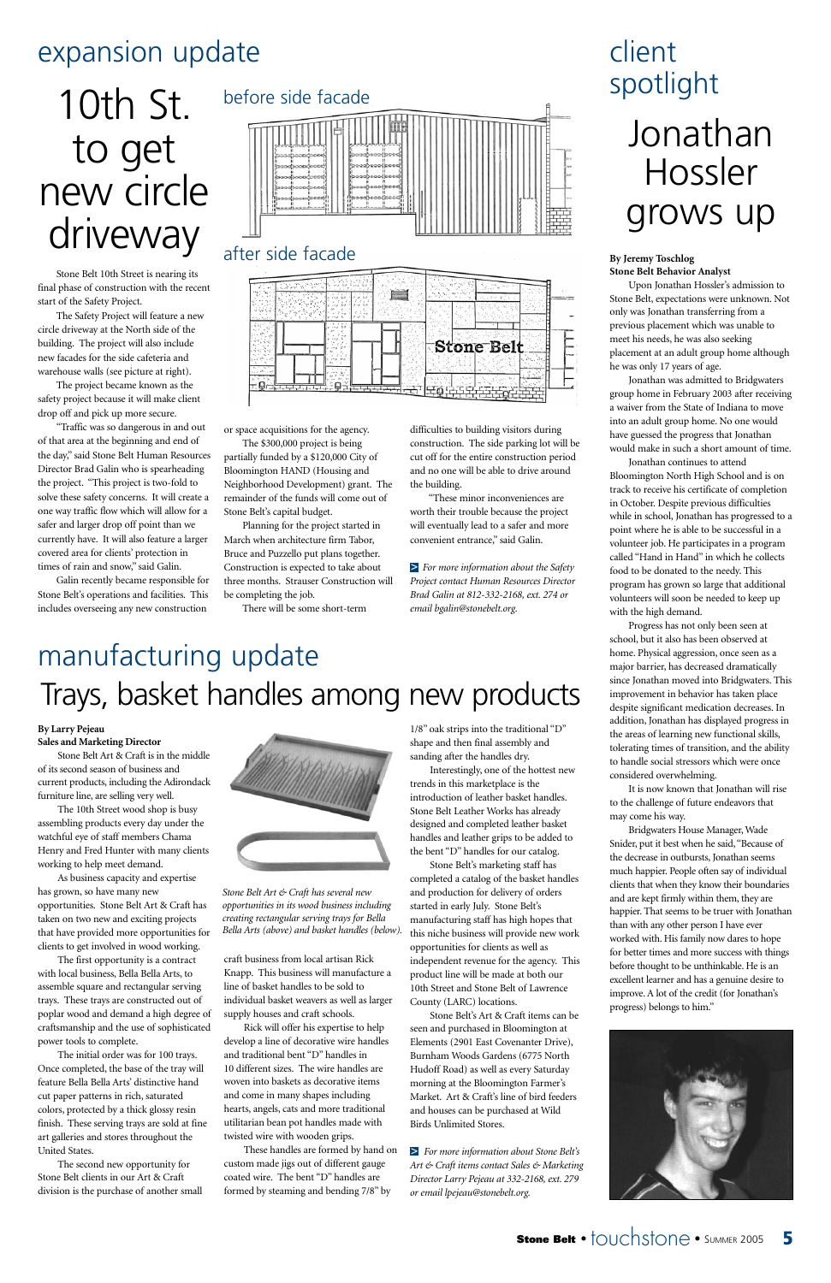Stone Belt 10th Street is nearing its final phase of construction with the recent start of the Safety Project.

The Safety Project will feature a new circle driveway at the North side of the building. The project will also include new facades for the side cafeteria and warehouse walls (see picture at right).

The project became known as the safety project because it will make client drop off and pick up more secure.

"Traffic was so dangerous in and out of that area at the beginning and end of the day," said Stone Belt Human Resources Director Brad Galin who is spearheading the project. "This project is two-fold to solve these safety concerns. It will create a one way traffic flow which will allow for a safer and larger drop off point than we currently have. It will also feature a larger covered area for clients' protection in times of rain and snow," said Galin.

Galin recently became responsible for Stone Belt's operations and facilities. This includes overseeing any new construction

or space acquisitions for the agency. The \$300,000 project is being

partially funded by a \$120,000 City of Bloomington HAND (Housing and Neighborhood Development) grant. The remainder of the funds will come out of Stone Belt's capital budget.

Planning for the project started in March when architecture firm Tabor, Bruce and Puzzello put plans together. Construction is expected to take about three months. Strauser Construction will be completing the job.

There will be some short-term

difficulties to building visitors during construction. The side parking lot will be cut off for the entire construction period and no one will be able to drive around the building.

"These minor inconveniences are worth their trouble because the project will eventually lead to a safer and more convenient entrance," said Galin.

*For more information about the Safety* > *Project contact Human Resources Director Brad Galin at 812-332-2168, ext. 274 or email bgalin@stonebelt.org.*

#### **By Larry Pejeau Sales and Marketing Director**

Stone Belt Art & Craft is in the middle of its second season of business and current products, including the Adirondack furniture line, are selling very well.

The 10th Street wood shop is busy assembling products every day under the watchful eye of staff members Chama Henry and Fred Hunter with many clients working to help meet demand.

As business capacity and expertise has grown, so have many new opportunities. Stone Belt Art & Craft has taken on two new and exciting projects that have provided more opportunities for



clients to get involved in wood working.

The first opportunity is a contract with local business, Bella Bella Arts, to assemble square and rectangular serving trays. These trays are constructed out of poplar wood and demand a high degree of craftsmanship and the use of sophisticated power tools to complete.

The initial order was for 100 trays. Once completed, the base of the tray will feature Bella Bella Arts' distinctive hand cut paper patterns in rich, saturated colors, protected by a thick glossy resin finish. These serving trays are sold at fine art galleries and stores throughout the United States.

The second new opportunity for Stone Belt clients in our Art & Craft division is the purchase of another small craft business from local artisan Rick

Knapp. This business will manufacture a line of basket handles to be sold to individual basket weavers as well as larger supply houses and craft schools.

Rick will offer his expertise to help develop a line of decorative wire handles and traditional bent "D" handles in 10 different sizes. The wire handles are woven into baskets as decorative items and come in many shapes including hearts, angels, cats and more traditional utilitarian bean pot handles made with twisted wire with wooden grips.

These handles are formed by hand on custom made jigs out of different gauge coated wire. The bent "D" handles are formed by steaming and bending 7/8" by

1/8" oak strips into the traditional "D" shape and then final assembly and sanding after the handles dry.

Interestingly, one of the hottest new trends in this marketplace is the introduction of leather basket handles. Stone Belt Leather Works has already designed and completed leather basket handles and leather grips to be added to the bent "D" handles for our catalog.

Stone Belt's marketing staff has completed a catalog of the basket handles and production for delivery of orders started in early July. Stone Belt's manufacturing staff has high hopes that this niche business will provide new work

opportunities for clients as well as independent revenue for the agency. This product line will be made at both our 10th Street and Stone Belt of Lawrence County (LARC) locations.

Stone Belt's Art & Craft items can be seen and purchased in Bloomington at Elements (2901 East Covenanter Drive), Burnham Woods Gardens (6775 North Hudoff Road) as well as every Saturday morning at the Bloomington Farmer's Market. Art & Craft's line of bird feeders and houses can be purchased at Wild Birds Unlimited Stores.

*For more information about Stone Belt's* >*Art & Craft items contact Sales & Marketing Director Larry Pejeau at 332-2168, ext. 279 or email lpejeau@stonebelt.org.*



**Stone Belt** •  $\dagger$ OUC**hStone** • SUMMER 2005 **5** 

### expansion update

#### **By Jeremy Toschlog Stone Belt Behavior Analyst**

Upon Jonathan Hossler's admission to Stone Belt, expectations were unknown. Not only was Jonathan transferring from a previous placement which was unable to meet his needs, he was also seeking placement at an adult group home although he was only 17 years of age.

Jonathan was admitted to Bridgwaters group home in February 2003 after receiving a waiver from the State of Indiana to move into an adult group home. No one would have guessed the progress that Jonathan would make in such a short amount of time.

Jonathan continues to attend Bloomington North High School and is on track to receive his certificate of completion in October. Despite previous difficulties while in school, Jonathan has progressed to a point where he is able to be successful in a volunteer job. He participates in a program called "Hand in Hand" in which he collects food to be donated to the needy. This program has grown so large that additional volunteers will soon be needed to keep up with the high demand.

Progress has not only been seen at school, but it also has been observed at home. Physical aggression, once seen as a major barrier, has decreased dramatically since Jonathan moved into Bridgwaters. This improvement in behavior has taken place despite significant medication decreases. In addition, Jonathan has displayed progress in the areas of learning new functional skills, tolerating times of transition, and the ability to handle social stressors which were once considered overwhelming.

It is now known that Jonathan will rise to the challenge of future endeavors that may come his way.

Bridgwaters House Manager, Wade Snider, put it best when he said, "Because of the decrease in outbursts, Jonathan seems much happier. People often say of individual clients that when they know their boundaries and are kept firmly within them, they are happier. That seems to be truer with Jonathan than with any other person I have ever worked with. His family now dares to hope for better times and more success with things before thought to be unthinkable. He is an excellent learner and has a genuine desire to improve. A lot of the credit (for Jonathan's progress) belongs to him."

# client spotlight

# Jonathan Hossler grows up

# manufacturing update Trays, basket handles among new products

*Stone Belt Art & Craft has several new opportunities in its wood business including creating rectangular serving trays for Bella Bella Arts (above) and basket handles (below).*

# 10th St. to get new circle driveway

#### before side facade



#### after side facade

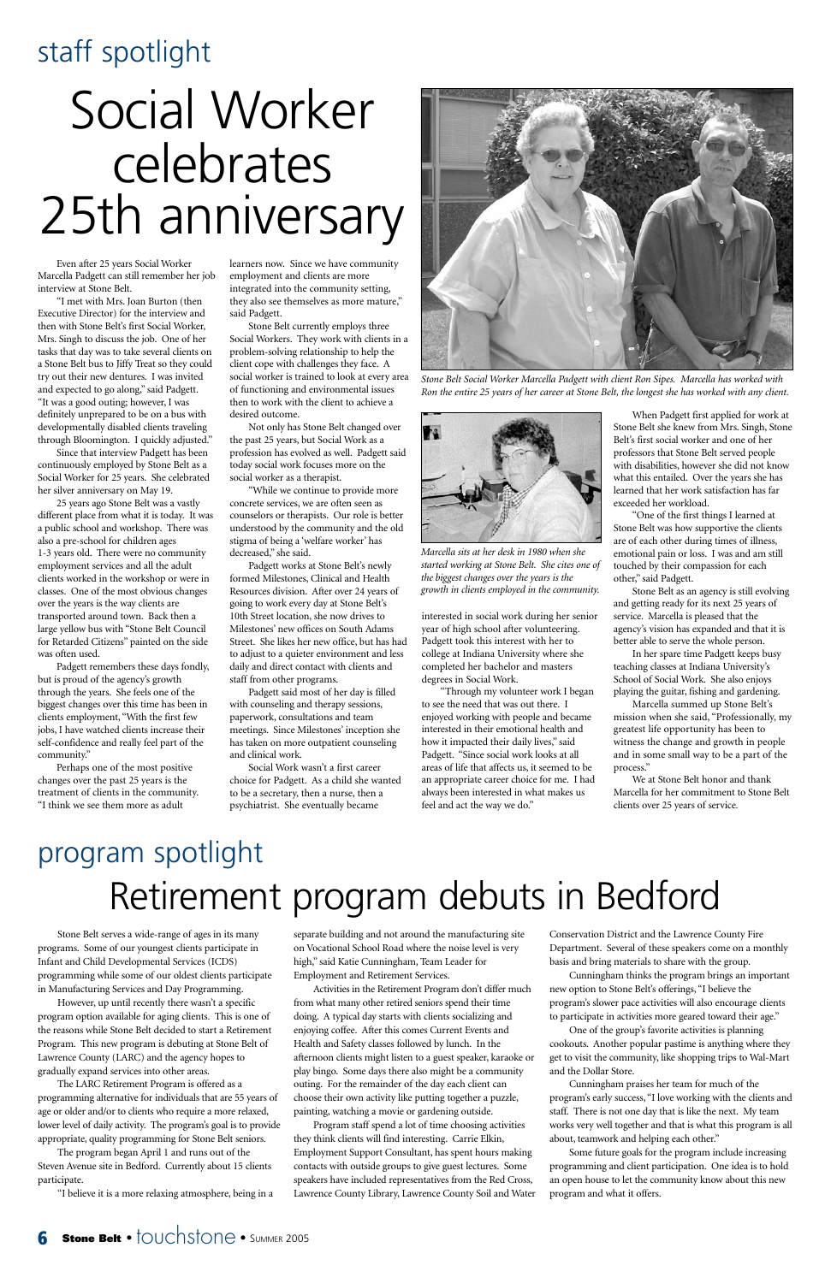# staff spotlight

Even after 25 years Social Worker Marcella Padgett can still remember her job interview at Stone Belt.

"I met with Mrs. Joan Burton (then Executive Director) for the interview and then with Stone Belt's first Social Worker, Mrs. Singh to discuss the job. One of her tasks that day was to take several clients on a Stone Belt bus to Jiffy Treat so they could try out their new dentures. I was invited and expected to go along," said Padgett. "It was a good outing; however, I was definitely unprepared to be on a bus with developmentally disabled clients traveling through Bloomington. I quickly adjusted."

Since that interview Padgett has been continuously employed by Stone Belt as a Social Worker for 25 years. She celebrated her silver anniversary on May 19.

25 years ago Stone Belt was a vastly different place from what it is today. It was a public school and workshop. There was also a pre-school for children ages 1-3 years old. There were no community employment services and all the adult clients worked in the workshop or were in classes. One of the most obvious changes over the years is the way clients are transported around town. Back then a large yellow bus with "Stone Belt Council for Retarded Citizens" painted on the side was often used.

Padgett remembers these days fondly, but is proud of the agency's growth through the years. She feels one of the biggest changes over this time has been in clients employment, "With the first few jobs, I have watched clients increase their self-confidence and really feel part of the community."

Perhaps one of the most positive changes over the past 25 years is the treatment of clients in the community. "I think we see them more as adult

learners now. Since we have community employment and clients are more integrated into the community setting, they also see themselves as more mature," said Padgett.

Stone Belt currently employs three Social Workers. They work with clients in a problem-solving relationship to help the client cope with challenges they face. A social worker is trained to look at every area of functioning and environmental issues then to work with the client to achieve a desired outcome.

Not only has Stone Belt changed over the past 25 years, but Social Work as a profession has evolved as well. Padgett said today social work focuses more on the social worker as a therapist.

"While we continue to provide more concrete services, we are often seen as counselors or therapists. Our role is better understood by the community and the old stigma of being a 'welfare worker' has decreased," she said.

Padgett works at Stone Belt's newly formed Milestones, Clinical and Health Resources division. After over 24 years of going to work every day at Stone Belt's 10th Street location, she now drives to Milestones' new offices on South Adams Street. She likes her new office, but has had to adjust to a quieter environment and less daily and direct contact with clients and staff from other programs.

Padgett said most of her day is filled with counseling and therapy sessions, paperwork, consultations and team meetings. Since Milestones' inception she has taken on more outpatient counseling and clinical work.

Social Work wasn't a first career choice for Padgett. As a child she wanted to be a secretary, then a nurse, then a psychiatrist. She eventually became

interested in social work during her senior year of high school after volunteering. Padgett took this interest with her to college at Indiana University where she completed her bachelor and masters degrees in Social Work.

"Through my volunteer work I began to see the need that was out there. I enjoyed working with people and became interested in their emotional health and how it impacted their daily lives," said Padgett. "Since social work looks at all areas of life that affects us, it seemed to be an appropriate career choice for me. I had always been interested in what makes us feel and act the way we do."

When Padgett first applied for work at Stone Belt she knew from Mrs. Singh, Stone Belt's first social worker and one of her professors that Stone Belt served people with disabilities, however she did not know what this entailed. Over the years she has learned that her work satisfaction has far exceeded her workload.

"One of the first things I learned at Stone Belt was how supportive the clients are of each other during times of illness, emotional pain or loss. I was and am still touched by their compassion for each other," said Padgett.

Stone Belt as an agency is still evolving and getting ready for its next 25 years of service. Marcella is pleased that the agency's vision has expanded and that it is better able to serve the whole person.

In her spare time Padgett keeps busy teaching classes at Indiana University's School of Social Work. She also enjoys playing the guitar, fishing and gardening.

Marcella summed up Stone Belt's mission when she said, "Professionally, my greatest life opportunity has been to witness the change and growth in people and in some small way to be a part of the process."

We at Stone Belt honor and thank Marcella for her commitment to Stone Belt clients over 25 years of service.

# Social Worker celebrates 25th anniversary



*Stone Belt Social Worker Marcella Padgett with client Ron Sipes. Marcella has worked with Ron the entire 25 years of her career at Stone Belt, the longest she has worked with any client.*



*Marcella sits at her desk in 1980 when she started working at Stone Belt. She cites one of the biggest changes over the years is the growth in clients employed in the community.*

# program spotlight Retirement program debuts in Bedford

programs. Some of our youngest clients participate in Infant and Child Developmental Services (ICDS) programming while some of our oldest clients participate in Manufacturing Services and Day Programming.

However, up until recently there wasn't a specific program option available for aging clients. This is one of the reasons while Stone Belt decided to start a Retirement Program. This new program is debuting at Stone Belt of Lawrence County (LARC) and the agency hopes to gradually expand services into other areas.

The LARC Retirement Program is offered as a programming alternative for individuals that are 55 years of age or older and/or to clients who require a more relaxed, lower level of daily activity. The program's goal is to provide appropriate, quality programming for Stone Belt seniors.

The program began April 1 and runs out of the Steven Avenue site in Bedford. Currently about 15 clients participate.

"I believe it is a more relaxing atmosphere, being in a

on Vocational School Road where the noise level is very high," said Katie Cunningham, Team Leader for Employment and Retirement Services.

Activities in the Retirement Program don't differ much from what many other retired seniors spend their time doing. A typical day starts with clients socializing and enjoying coffee. After this comes Current Events and Health and Safety classes followed by lunch. In the afternoon clients might listen to a guest speaker, karaoke or play bingo. Some days there also might be a community outing. For the remainder of the day each client can choose their own activity like putting together a puzzle, painting, watching a movie or gardening outside.

Program staff spend a lot of time choosing activities they think clients will find interesting. Carrie Elkin, Employment Support Consultant, has spent hours making contacts with outside groups to give guest lectures. Some speakers have included representatives from the Red Cross, Lawrence County Library, Lawrence County Soil and Water Department. Several of these speakers come on a monthly basis and bring materials to share with the group.

Cunningham thinks the program brings an important new option to Stone Belt's offerings, "I believe the program's slower pace activities will also encourage clients to participate in activities more geared toward their age."

One of the group's favorite activities is planning cookouts. Another popular pastime is anything where they get to visit the community, like shopping trips to Wal-Mart and the Dollar Store.

Cunningham praises her team for much of the program's early success, "I love working with the clients and staff. There is not one day that is like the next. My team works very well together and that is what this program is all about, teamwork and helping each other."

Some future goals for the program include increasing programming and client participation. One idea is to hold an open house to let the community know about this new program and what it offers.

#### **6 Stone Belt** •  $\overline{1}$ OUC**hStone •** SUMMER 2005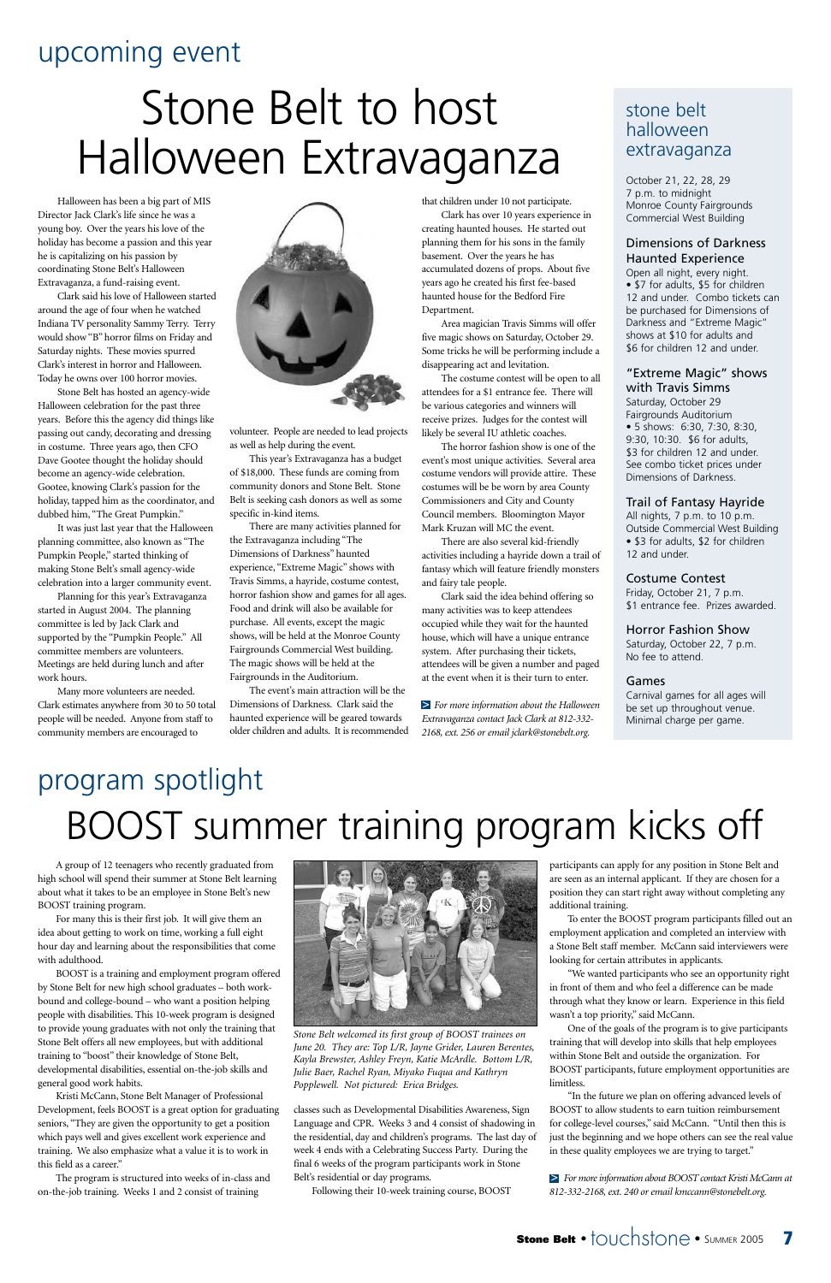

A group of 12 teenagers who recently graduated from high school will spend their summer at Stone Belt learning about what it takes to be an employee in Stone Belt's new BOOST training program.

For many this is their first job. It will give them an idea about getting to work on time, working a full eight hour day and learning about the responsibilities that come with adulthood.



BOOST is a training and employment program offered by Stone Belt for new high school graduates – both workbound and college-bound – who want a position helping people with disabilities. This 10-week program is designed to provide young graduates with not only the training that Stone Belt offers all new employees, but with additional training to "boost" their knowledge of Stone Belt, developmental disabilities, essential on-the-job skills and general good work habits.

Kristi McCann, Stone Belt Manager of Professional Development, feels BOOST is a great option for graduating seniors, "They are given the opportunity to get a position which pays well and gives excellent work experience and training. We also emphasize what a value it is to work in this field as a career."

The program is structured into weeks of in-class and on-the-job training. Weeks 1 and 2 consist of training

classes such as Developmental Disabilities Awareness, Sign Language and CPR. Weeks 3 and 4 consist of shadowing in the residential, day and children's programs. The last day of week 4 ends with a Celebrating Success Party. During the final 6 weeks of the program participants work in Stone Belt's residential or day programs.

# program spotlight BOOST summer training program kicks off

Following their 10-week training course, BOOST

participants can apply for any position in Stone Belt and are seen as an internal applicant. If they are chosen for a position they can start right away without completing any additional training.

To enter the BOOST program participants filled out an employment application and completed an interview with a Stone Belt staff member. McCann said interviewers were looking for certain attributes in applicants.

"We wanted participants who see an opportunity right in front of them and who feel a difference can be made through what they know or learn. Experience in this field wasn't a top priority," said McCann.

One of the goals of the program is to give participants training that will develop into skills that help employees within Stone Belt and outside the organization. For BOOST participants, future employment opportunities are limitless.

"In the future we plan on offering advanced levels of BOOST to allow students to earn tuition reimbursement for college-level courses," said McCann. "Until then this is just the beginning and we hope others can see the real value in these quality employees we are trying to target."

*For more information about BOOST contact Kristi McCann at* > *812-332-2168, ext. 240 or email kmccann@stonebelt.org.*

## upcoming event

# Stone Belt to host Halloween Extravaganza

Halloween has been a big part of MIS Director Jack Clark's life since he was a young boy. Over the years his love of the holiday has become a passion and this year he is capitalizing on his passion by coordinating Stone Belt's Halloween Extravaganza, a fund-raising event.

Clark said his love of Halloween started around the age of four when he watched Indiana TV personality Sammy Terry. Terry would show "B" horror films on Friday and Saturday nights. These movies spurred Clark's interest in horror and Halloween. Today he owns over 100 horror movies.

Stone Belt has hosted an agency-wide Halloween celebration for the past three years. Before this the agency did things like passing out candy, decorating and dressing in costume. Three years ago, then CFO Dave Gootee thought the holiday should become an agency-wide celebration. Gootee, knowing Clark's passion for the holiday, tapped him as the coordinator, and dubbed him, "The Great Pumpkin."

It was just last year that the Halloween planning committee, also known as "The Pumpkin People," started thinking of making Stone Belt's small agency-wide celebration into a larger community event.

Planning for this year's Extravaganza started in August 2004. The planning committee is led by Jack Clark and supported by the "Pumpkin People." All committee members are volunteers. Meetings are held during lunch and after work hours.

Many more volunteers are needed. Clark estimates anywhere from 30 to 50 total people will be needed. Anyone from staff to community members are encouraged to



volunteer. People are needed to lead projects as well as help during the event.

This year's Extravaganza has a budget of \$18,000. These funds are coming from community donors and Stone Belt. Stone Belt is seeking cash donors as well as some specific in-kind items.

There are many activities planned for the Extravaganza including "The Dimensions of Darkness" haunted experience, "Extreme Magic" shows with Travis Simms, a hayride, costume contest, horror fashion show and games for all ages. Food and drink will also be available for purchase. All events, except the magic shows, will be held at the Monroe County Fairgrounds Commercial West building. The magic shows will be held at the Fairgrounds in the Auditorium.

The event's main attraction will be the Dimensions of Darkness. Clark said the haunted experience will be geared towards older children and adults. It is recommended that children under 10 not participate.

Clark has over 10 years experience in creating haunted houses. He started out planning them for his sons in the family basement. Over the years he has accumulated dozens of props. About five years ago he created his first fee-based haunted house for the Bedford Fire Department.

Area magician Travis Simms will offer five magic shows on Saturday, October 29. Some tricks he will be performing include a disappearing act and levitation.

The costume contest will be open to all attendees for a \$1 entrance fee. There will be various categories and winners will receive prizes. Judges for the contest will likely be several IU athletic coaches.

The horror fashion show is one of the event's most unique activities. Several area costume vendors will provide attire. These costumes will be be worn by area County Commissioners and City and County Council members. Bloomington Mayor Mark Kruzan will MC the event.

There are also several kid-friendly activities including a hayride down a trail of fantasy which will feature friendly monsters and fairy tale people.

Clark said the idea behind offering so many activities was to keep attendees occupied while they wait for the haunted house, which will have a unique entrance system. After purchasing their tickets, attendees will be given a number and paged at the event when it is their turn to enter.

*For more information about the Halloween* >*Extravaganza contact Jack Clark at 812-332- 2168, ext. 256 or email jclark@stonebelt.org.*

*Stone Belt welcomed its first group of BOOST trainees on June 20. They are: Top L/R, Jayne Grider, Lauren Berentes, Kayla Brewster, Ashley Freyn, Katie McArdle. Bottom L/R, Julie Baer, Rachel Ryan, Miyako Fuqua and Kathryn Popplewell. Not pictured: Erica Bridges.*

#### stone belt halloween extravaganza

October 21, 22, 28, 29 7 p.m. to midnight Monroe County Fairgrounds Commercial West Building

#### Dimensions of Darkness Haunted Experience

Open all night, every night. • \$7 for adults, \$5 for children 12 and under. Combo tickets can be purchased for Dimensions of Darkness and "Extreme Magic" shows at \$10 for adults and \$6 for children 12 and under.

#### "Extreme Magic" shows with Travis Simms

Saturday, October 29 Fairgrounds Auditorium • 5 shows: 6:30, 7:30, 8:30, 9:30, 10:30. \$6 for adults, \$3 for children 12 and under. See combo ticket prices under Dimensions of Darkness.

#### Trail of Fantasy Hayride

All nights, 7 p.m. to 10 p.m. Outside Commercial West Building • \$3 for adults, \$2 for children 12 and under.

#### Costume Contest

Friday, October 21, 7 p.m. \$1 entrance fee. Prizes awarded.

Horror Fashion Show

Saturday, October 22, 7 p.m. No fee to attend.

#### Games

Carnival games for all ages will be set up throughout venue. Minimal charge per game.